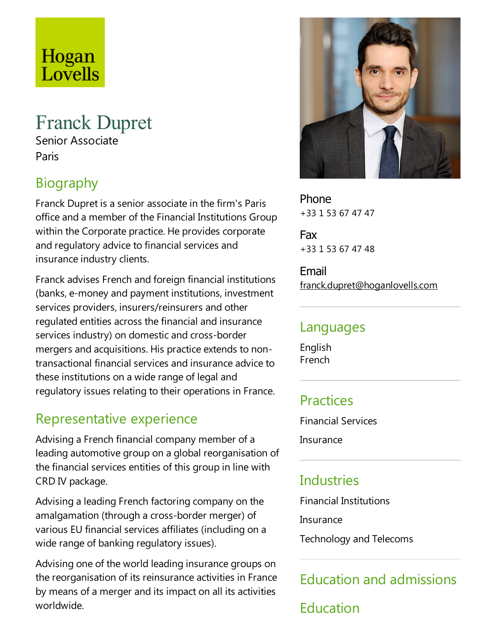# Hogan Lovells

# Franck Dupret

Senior Associate Paris

# Biography

Franck Dupret is a senior associate in the firm's Paris office and a member of the Financial Institutions Group within the Corporate practice. He provides corporate and regulatory advice to financial services and insurance industry clients.

Franck advises French and foreign financial institutions (banks, e-money and payment institutions, investment services providers, insurers/reinsurers and other regulated entities across the financial and insurance services industry) on domestic and cross-border mergers and acquisitions. His practice extends to nontransactional financial services and insurance advice to these institutions on a wide range of legal and regulatory issues relating to their operations in France.

#### Representative experience

Advising a French financial company member of a leading automotive group on a global reorganisation of the financial services entities of this group in line with CRD IV package.

Advising aleading French factoring company on the amalgamation (through a cross-border merger) of various EU financial services affiliates (including on a wide range of banking regulatory issues).

Advising one of the world leading insurance groups on the reorganisation of its reinsurance activities in France by means of a merger and its impact on all its activities worldwide.



Phone +33 1 53 67 47 47

Fax +33 1 53 67 47 48

Email franck.dupret@hoganlovells.com

#### Languages

English French

## Practices

Financial Services

Insurance

## Industries

Financial Institutions

Insurance

Technology and Telecoms

# Education and admissions

Education